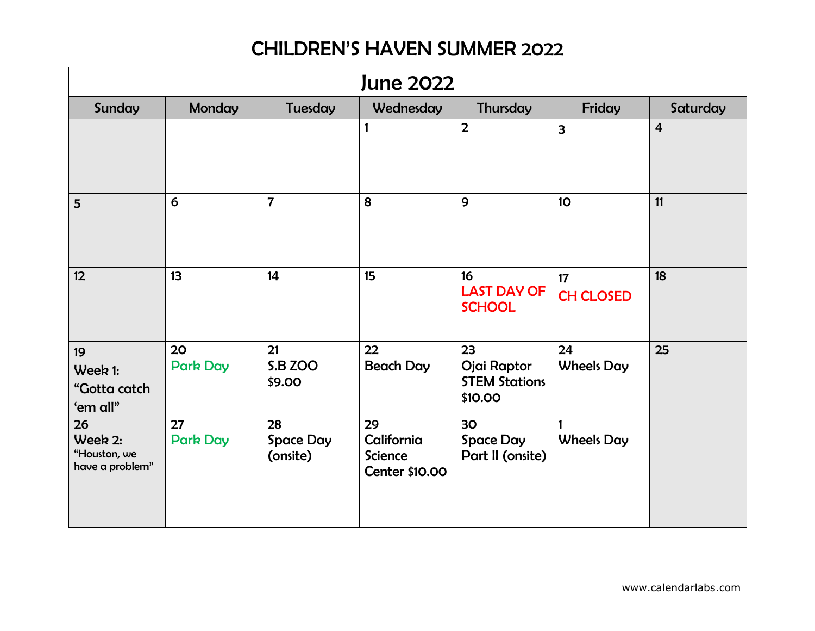| <b>June 2022</b>                                 |                       |                                    |                                                      |                                                      |                         |                |  |
|--------------------------------------------------|-----------------------|------------------------------------|------------------------------------------------------|------------------------------------------------------|-------------------------|----------------|--|
| Sunday                                           | Monday                | Tuesday                            | Wednesday                                            | Thursday                                             | Friday                  | Saturday       |  |
|                                                  |                       |                                    | $\mathbf{1}$                                         | $\overline{2}$                                       | 3                       | $\overline{4}$ |  |
| 5                                                | 6                     | $\overline{7}$                     | 8                                                    | $\mathbf{9}$                                         | 10 <sup>°</sup>         | 11             |  |
| 12                                               | 13                    | 14                                 | 15                                                   | 16<br><b>LAST DAY OF</b><br><b>SCHOOL</b>            | 17<br><b>CH CLOSED</b>  | 18             |  |
| 19<br>Week 1:<br>"Gotta catch<br>'em all"        | 20<br><b>Park Day</b> | 21<br><b>S.B ZOO</b><br>\$9.00     | 22<br><b>Beach Day</b>                               | 23<br>Ojai Raptor<br><b>STEM Stations</b><br>\$10.00 | 24<br><b>Wheels Day</b> | 25             |  |
| 26<br>Week 2:<br>"Houston, we<br>have a problem" | 27<br><b>Park Day</b> | 28<br><b>Space Day</b><br>(onsite) | 29<br>California<br><b>Science</b><br>Center \$10.00 | 30<br><b>Space Day</b><br>Part II (onsite)           | 1<br><b>Wheels Day</b>  |                |  |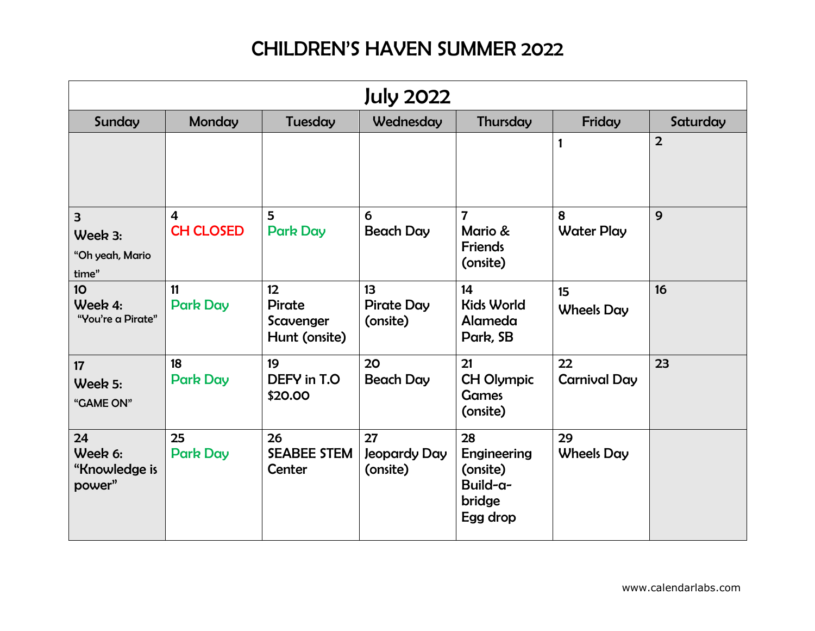| <b>July 2022</b>                                               |                                             |                                            |                                     |                                                                 |                           |                |  |
|----------------------------------------------------------------|---------------------------------------------|--------------------------------------------|-------------------------------------|-----------------------------------------------------------------|---------------------------|----------------|--|
| Sunday                                                         | <b>Monday</b>                               | Tuesday                                    | Wednesday                           | Thursday                                                        | Friday                    | Saturday       |  |
|                                                                |                                             |                                            |                                     |                                                                 | 1                         | $\overline{2}$ |  |
| $\overline{\mathbf{3}}$<br>Week 3:<br>"Oh yeah, Mario<br>time" | $\overline{\mathbf{4}}$<br><b>CH CLOSED</b> | 5<br><b>Park Day</b>                       | 6<br><b>Beach Day</b>               | $\overline{7}$<br>Mario &<br><b>Friends</b><br>(onsite)         | 8<br><b>Water Play</b>    | 9              |  |
| 10 <sub>o</sub><br>Week 4:<br>"You're a Pirate"                | 11<br><b>Park Day</b>                       | 12<br>Pirate<br>Scavenger<br>Hunt (onsite) | 13<br><b>Pirate Day</b><br>(onsite) | 14<br><b>Kids World</b><br>Alameda<br>Park, SB                  | 15<br><b>Wheels Day</b>   | 16             |  |
| 17<br>Week 5:<br>"GAME ON"                                     | 18<br><b>Park Day</b>                       | 19<br>DEFY in T.O.<br>\$20.00              | 20<br><b>Beach Day</b>              | 21<br><b>CH Olympic</b><br><b>Games</b><br>(onsite)             | 22<br><b>Carnival Day</b> | 23             |  |
| 24<br>Week 6:<br>"Knowledge is<br>power"                       | 25<br><b>Park Day</b>                       | 26<br><b>SEABEE STEM</b><br>Center         | 27<br>Jeopardy Day<br>(onsite)      | 28<br>Engineering<br>(onsite)<br>Build-a-<br>bridge<br>Egg drop | 29<br><b>Wheels Day</b>   |                |  |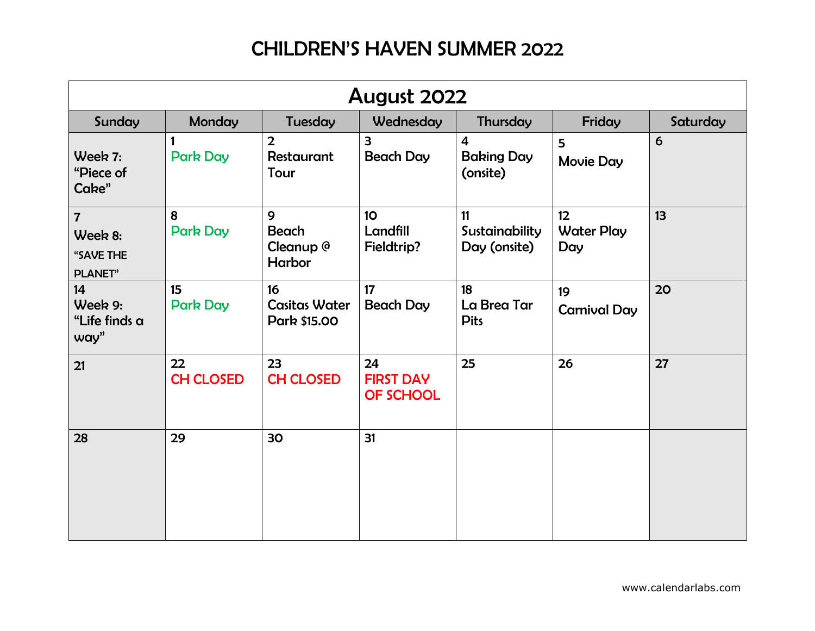| August 2022                                               |                        |                                            |                                             |                                                 |                                |          |  |
|-----------------------------------------------------------|------------------------|--------------------------------------------|---------------------------------------------|-------------------------------------------------|--------------------------------|----------|--|
| Sunday                                                    | <b>Monday</b>          | Tuesday                                    | Wednesday                                   | Thursday                                        | Friday                         | Saturday |  |
| Week 7:<br>"Piece of<br>Cake"                             | <b>Park Day</b>        | $\overline{2}$<br>Restaurant<br>Tour       | $\overline{\mathbf{3}}$<br><b>Beach Day</b> | $\overline{4}$<br><b>Baking Day</b><br>(onsite) | 5<br><b>Movie Day</b>          | 6        |  |
| $\overline{7}$<br>Week 8:<br>"SAVE THE<br><b>PLANET</b> " | 8<br><b>Park Day</b>   | 9<br>Beach<br>Cleanup @<br>Harbor          | 10 <sub>o</sub><br>Landfill<br>Fieldtrip?   | 11<br>Sustainability<br>Day (onsite)            | 12<br><b>Water Play</b><br>Day | 13       |  |
| 14<br>Week 9:<br>"Life finds a<br>way"                    | 15<br><b>Park Day</b>  | 16<br><b>Casitas Water</b><br>Park \$15.00 | 17<br><b>Beach Day</b>                      | 18<br>La Brea Tar<br><b>Pits</b>                | 19<br><b>Carnival Day</b>      | 20       |  |
| 21                                                        | 22<br><b>CH CLOSED</b> | 23<br><b>CH CLOSED</b>                     | 24<br><b>FIRST DAY</b><br>OF SCHOOL         | 25                                              | 26                             | 27       |  |
| 28                                                        | 29                     | 30                                         | 31                                          |                                                 |                                |          |  |